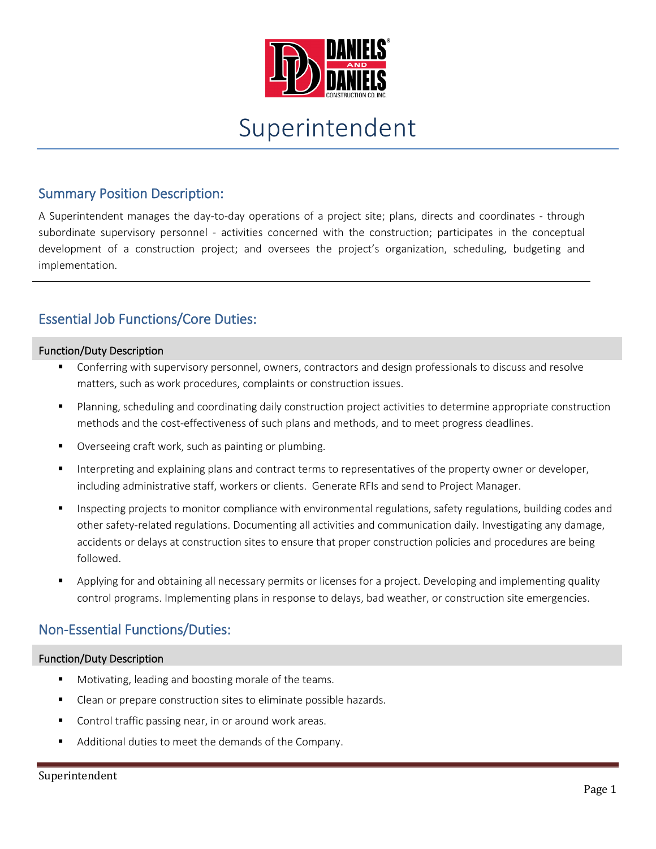

# Superintendent

## Summary Position Description:

A Superintendent manages the day-to-day operations of a project site; plans, directs and coordinates - through subordinate supervisory personnel - activities concerned with the construction; participates in the conceptual development of a construction project; and oversees the project's organization, scheduling, budgeting and implementation.

## Essential Job Functions/Core Duties:

#### Function/Duty Description

- Conferring with supervisory personnel, owners, contractors and design professionals to discuss and resolve matters, such as work procedures, complaints or construction issues.
- Planning, scheduling and coordinating daily construction project activities to determine appropriate construction methods and the cost-effectiveness of such plans and methods, and to meet progress deadlines.
- Overseeing craft work, such as painting or plumbing.
- Interpreting and explaining plans and contract terms to representatives of the property owner or developer, including administrative staff, workers or clients. Generate RFIs and send to Project Manager.
- Inspecting projects to monitor compliance with environmental regulations, safety regulations, building codes and other safety-related regulations. Documenting all activities and communication daily. Investigating any damage, accidents or delays at construction sites to ensure that proper construction policies and procedures are being followed.
- Applying for and obtaining all necessary permits or licenses for a project. Developing and implementing quality control programs. Implementing plans in response to delays, bad weather, or construction site emergencies.

### Non-Essential Functions/Duties:

#### Function/Duty Description

- Motivating, leading and boosting morale of the teams.
- **EXEC** Clean or prepare construction sites to eliminate possible hazards.
- Control traffic passing near, in or around work areas.
- Additional duties to meet the demands of the Company.